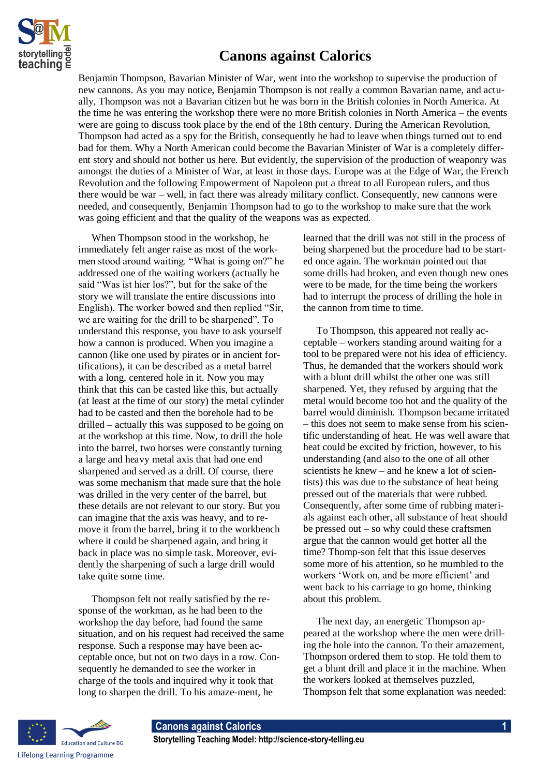

## **Canons against Calorics**

Benjamin Thompson, Bavarian Minister of War, went into the workshop to supervise the production of new cannons. As you may notice, Benjamin Thompson is not really a common Bavarian name, and actually, Thompson was not a Bavarian citizen but he was born in the British colonies in North America. At the time he was entering the workshop there were no more British colonies in North America – the events were are going to discuss took place by the end of the 18th century. During the American Revolution, Thompson had acted as a spy for the British, consequently he had to leave when things turned out to end bad for them. Why a North American could become the Bavarian Minister of War is a completely different story and should not bother us here. But evidently, the supervision of the production of weaponry was amongst the duties of a Minister of War, at least in those days. Europe was at the Edge of War, the French Revolution and the following Empowerment of Napoleon put a threat to all European rulers, and thus there would be war – well, in fact there was already military conflict. Consequently, new cannons were needed, and consequently, Benjamin Thompson had to go to the workshop to make sure that the work was going efficient and that the quality of the weapons was as expected.

When Thompson stood in the workshop, he immediately felt anger raise as most of the workmen stood around waiting. "What is going on?" he addressed one of the waiting workers (actually he said "Was ist hier los?", but for the sake of the story we will translate the entire discussions into English). The worker bowed and then replied "Sir, we are waiting for the drill to be sharpened". To understand this response, you have to ask yourself how a cannon is produced. When you imagine a cannon (like one used by pirates or in ancient fortifications), it can be described as a metal barrel with a long, centered hole in it. Now you may think that this can be casted like this, but actually (at least at the time of our story) the metal cylinder had to be casted and then the borehole had to be drilled – actually this was supposed to be going on at the workshop at this time. Now, to drill the hole into the barrel, two horses were constantly turning a large and heavy metal axis that had one end sharpened and served as a drill. Of course, there was some mechanism that made sure that the hole was drilled in the very center of the barrel, but these details are not relevant to our story. But you can imagine that the axis was heavy, and to remove it from the barrel, bring it to the workbench where it could be sharpened again, and bring it back in place was no simple task. Moreover, evidently the sharpening of such a large drill would take quite some time.

Thompson felt not really satisfied by the response of the workman, as he had been to the workshop the day before, had found the same situation, and on his request had received the same response. Such a response may have been acceptable once, but not on two days in a row. Consequently he demanded to see the worker in charge of the tools and inquired why it took that long to sharpen the drill. To his amaze-ment, he

learned that the drill was not still in the process of being sharpened but the procedure had to be started once again. The workman pointed out that some drills had broken, and even though new ones were to be made, for the time being the workers had to interrupt the process of drilling the hole in the cannon from time to time.

To Thompson, this appeared not really acceptable – workers standing around waiting for a tool to be prepared were not his idea of efficiency. Thus, he demanded that the workers should work with a blunt drill whilst the other one was still sharpened. Yet, they refused by arguing that the metal would become too hot and the quality of the barrel would diminish. Thompson became irritated – this does not seem to make sense from his scientific understanding of heat. He was well aware that heat could be excited by friction, however, to his understanding (and also to the one of all other scientists he knew – and he knew a lot of scientists) this was due to the substance of heat being pressed out of the materials that were rubbed. Consequently, after some time of rubbing materials against each other, all substance of heat should be pressed out – so why could these craftsmen argue that the cannon would get hotter all the time? Thomp-son felt that this issue deserves some more of his attention, so he mumbled to the workers 'Work on, and be more efficient' and went back to his carriage to go home, thinking about this problem.

The next day, an energetic Thompson appeared at the workshop where the men were drilling the hole into the cannon. To their amazement, Thompson ordered them to stop. He told them to get a blunt drill and place it in the machine. When the workers looked at themselves puzzled, Thompson felt that some explanation was needed: